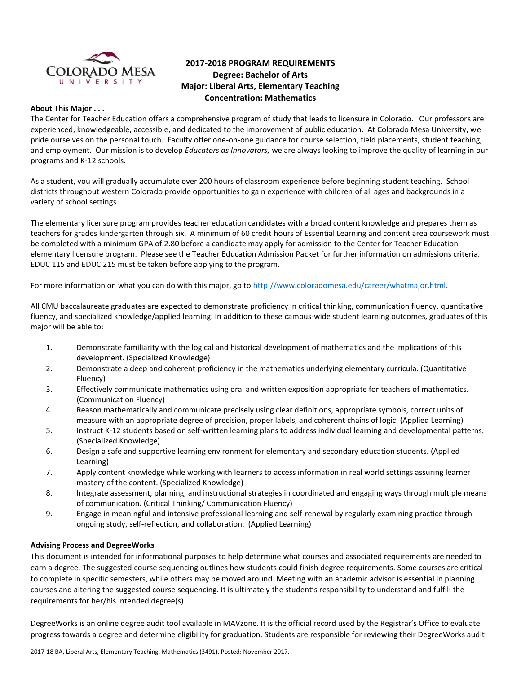

# **2017-2018 PROGRAM REQUIREMENTS Degree: Bachelor of Arts Major: Liberal Arts, Elementary Teaching Concentration: Mathematics**

#### **About This Major . . .**

The Center for Teacher Education offers a comprehensive program of study that leads to licensure in Colorado. Our professors are experienced, knowledgeable, accessible, and dedicated to the improvement of public education. At Colorado Mesa University, we pride ourselves on the personal touch. Faculty offer one-on-one guidance for course selection, field placements, student teaching, and employment. Our mission is to develop *Educators as Innovators;* we are always looking to improve the quality of learning in our programs and K-12 schools.

As a student, you will gradually accumulate over 200 hours of classroom experience before beginning student teaching. School districts throughout western Colorado provide opportunities to gain experience with children of all ages and backgrounds in a variety of school settings.

The elementary licensure program provides teacher education candidates with a broad content knowledge and prepares them as teachers for grades kindergarten through six. A minimum of 60 credit hours of Essential Learning and content area coursework must be completed with a minimum GPA of 2.80 before a candidate may apply for admission to the Center for Teacher Education elementary licensure program. Please see the Teacher Education Admission Packet for further information on admissions criteria. EDUC 115 and EDUC 215 must be taken before applying to the program.

For more information on what you can do with this major, go to [http://www.coloradomesa.edu/career/whatmajor.html.](http://www.coloradomesa.edu/career/whatmajor.html)

All CMU baccalaureate graduates are expected to demonstrate proficiency in critical thinking, communication fluency, quantitative fluency, and specialized knowledge/applied learning. In addition to these campus-wide student learning outcomes, graduates of this major will be able to:

- 1. Demonstrate familiarity with the logical and historical development of mathematics and the implications of this development. (Specialized Knowledge)
- 2. Demonstrate a deep and coherent proficiency in the mathematics underlying elementary curricula. (Quantitative Fluency)
- 3. Effectively communicate mathematics using oral and written exposition appropriate for teachers of mathematics. (Communication Fluency)
- 4. Reason mathematically and communicate precisely using clear definitions, appropriate symbols, correct units of measure with an appropriate degree of precision, proper labels, and coherent chains of logic. (Applied Learning)
- 5. Instruct K-12 students based on self-written learning plans to address individual learning and developmental patterns. (Specialized Knowledge)
- 6. Design a safe and supportive learning environment for elementary and secondary education students. (Applied Learning)
- 7. Apply content knowledge while working with learners to access information in real world settings assuring learner mastery of the content. (Specialized Knowledge)
- 8. Integrate assessment, planning, and instructional strategies in coordinated and engaging ways through multiple means of communication. (Critical Thinking/ Communication Fluency)
- 9. Engage in meaningful and intensive professional learning and self-renewal by regularly examining practice through ongoing study, self-reflection, and collaboration. (Applied Learning)

### **Advising Process and DegreeWorks**

This document is intended for informational purposes to help determine what courses and associated requirements are needed to earn a degree. The suggested course sequencing outlines how students could finish degree requirements. Some courses are critical to complete in specific semesters, while others may be moved around. Meeting with an academic advisor is essential in planning courses and altering the suggested course sequencing. It is ultimately the student's responsibility to understand and fulfill the requirements for her/his intended degree(s).

DegreeWorks is an online degree audit tool available in MAVzone. It is the official record used by the Registrar's Office to evaluate progress towards a degree and determine eligibility for graduation. Students are responsible for reviewing their DegreeWorks audit

2017-18 BA, Liberal Arts, Elementary Teaching, Mathematics (3491). Posted: November 2017.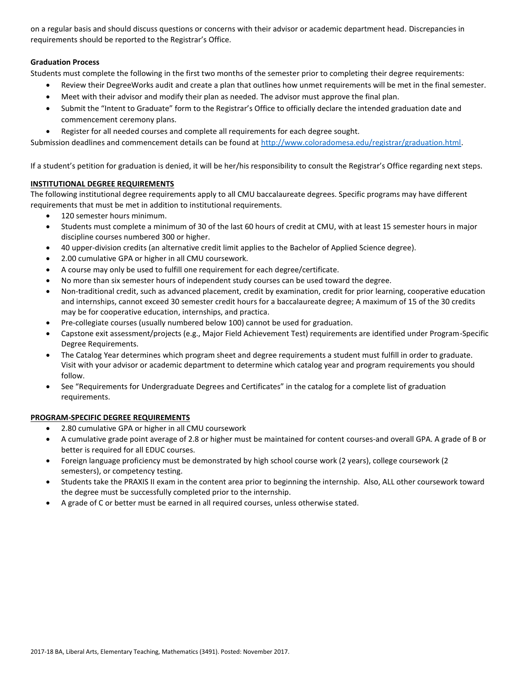on a regular basis and should discuss questions or concerns with their advisor or academic department head. Discrepancies in requirements should be reported to the Registrar's Office.

## **Graduation Process**

Students must complete the following in the first two months of the semester prior to completing their degree requirements:

- Review their DegreeWorks audit and create a plan that outlines how unmet requirements will be met in the final semester.
- Meet with their advisor and modify their plan as needed. The advisor must approve the final plan.
- Submit the "Intent to Graduate" form to the Registrar's Office to officially declare the intended graduation date and commencement ceremony plans.
- Register for all needed courses and complete all requirements for each degree sought.

Submission deadlines and commencement details can be found at [http://www.coloradomesa.edu/registrar/graduation.html.](http://www.coloradomesa.edu/registrar/graduation.html)

If a student's petition for graduation is denied, it will be her/his responsibility to consult the Registrar's Office regarding next steps.

### **INSTITUTIONAL DEGREE REQUIREMENTS**

The following institutional degree requirements apply to all CMU baccalaureate degrees. Specific programs may have different requirements that must be met in addition to institutional requirements.

- 120 semester hours minimum.
- Students must complete a minimum of 30 of the last 60 hours of credit at CMU, with at least 15 semester hours in major discipline courses numbered 300 or higher.
- 40 upper-division credits (an alternative credit limit applies to the Bachelor of Applied Science degree).
- 2.00 cumulative GPA or higher in all CMU coursework.
- A course may only be used to fulfill one requirement for each degree/certificate.
- No more than six semester hours of independent study courses can be used toward the degree.
- Non-traditional credit, such as advanced placement, credit by examination, credit for prior learning, cooperative education and internships, cannot exceed 30 semester credit hours for a baccalaureate degree; A maximum of 15 of the 30 credits may be for cooperative education, internships, and practica.
- Pre-collegiate courses (usually numbered below 100) cannot be used for graduation.
- Capstone exit assessment/projects (e.g., Major Field Achievement Test) requirements are identified under Program-Specific Degree Requirements.
- The Catalog Year determines which program sheet and degree requirements a student must fulfill in order to graduate. Visit with your advisor or academic department to determine which catalog year and program requirements you should follow.
- See "Requirements for Undergraduate Degrees and Certificates" in the catalog for a complete list of graduation requirements.

### **PROGRAM-SPECIFIC DEGREE REQUIREMENTS**

- 2.80 cumulative GPA or higher in all CMU coursework
- A cumulative grade point average of 2.8 or higher must be maintained for content courses-and overall GPA. A grade of B or better is required for all EDUC courses.
- Foreign language proficiency must be demonstrated by high school course work (2 years), college coursework (2 semesters), or competency testing.
- Students take the PRAXIS II exam in the content area prior to beginning the internship. Also, ALL other coursework toward the degree must be successfully completed prior to the internship.
- A grade of C or better must be earned in all required courses, unless otherwise stated.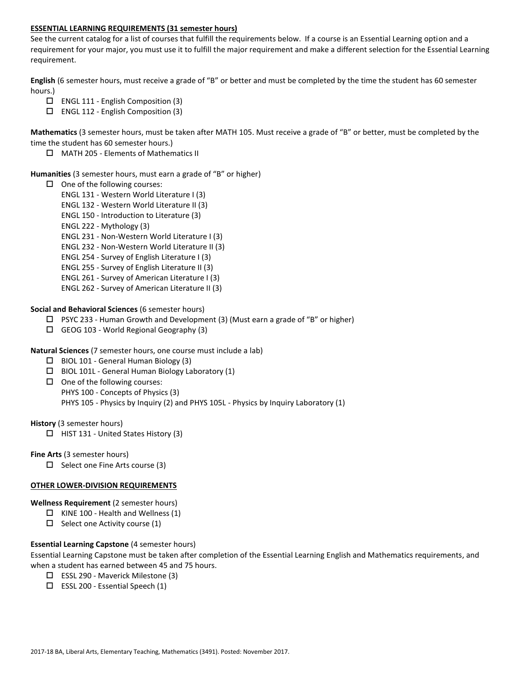### **ESSENTIAL LEARNING REQUIREMENTS (31 semester hours)**

See the current catalog for a list of courses that fulfill the requirements below. If a course is an Essential Learning option and a requirement for your major, you must use it to fulfill the major requirement and make a different selection for the Essential Learning requirement.

**English** (6 semester hours, must receive a grade of "B" or better and must be completed by the time the student has 60 semester hours.)

- $\Box$  ENGL 111 English Composition (3)
- ENGL 112 English Composition (3)

**Mathematics** (3 semester hours, must be taken after MATH 105. Must receive a grade of "B" or better, must be completed by the time the student has 60 semester hours.)

MATH 205 - Elements of Mathematics II

#### **Humanities** (3 semester hours, must earn a grade of "B" or higher)

- $\Box$  One of the following courses:
	- ENGL 131 Western World Literature I (3)
	- ENGL 132 Western World Literature II (3)
	- ENGL 150 Introduction to Literature (3)
	- ENGL 222 Mythology (3)
	- ENGL 231 Non-Western World Literature I (3)
	- ENGL 232 Non-Western World Literature II (3)
	- ENGL 254 Survey of English Literature I (3)
	- ENGL 255 Survey of English Literature II (3)
	- ENGL 261 Survey of American Literature I (3)
	- ENGL 262 Survey of American Literature II (3)

**Social and Behavioral Sciences** (6 semester hours)

- $\Box$  PSYC 233 Human Growth and Development (3) (Must earn a grade of "B" or higher)
- $\Box$  GEOG 103 World Regional Geography (3)
- **Natural Sciences** (7 semester hours, one course must include a lab)
	- $\Box$  BIOL 101 General Human Biology (3)
	- BIOL 101L General Human Biology Laboratory (1)
	- $\Box$  One of the following courses: PHYS 100 - Concepts of Physics (3) PHYS 105 - Physics by Inquiry (2) and PHYS 105L - Physics by Inquiry Laboratory (1)

**History** (3 semester hours)

 $\Box$  HIST 131 - United States History (3)

**Fine Arts** (3 semester hours)

 $\Box$  Select one Fine Arts course (3)

#### **OTHER LOWER-DIVISION REQUIREMENTS**

**Wellness Requirement** (2 semester hours)

- $\Box$  KINE 100 Health and Wellness (1)
- $\Box$  Select one Activity course (1)

### **Essential Learning Capstone** (4 semester hours)

Essential Learning Capstone must be taken after completion of the Essential Learning English and Mathematics requirements, and when a student has earned between 45 and 75 hours.

- ESSL 290 Maverick Milestone (3)
- $\square$  ESSL 200 Essential Speech (1)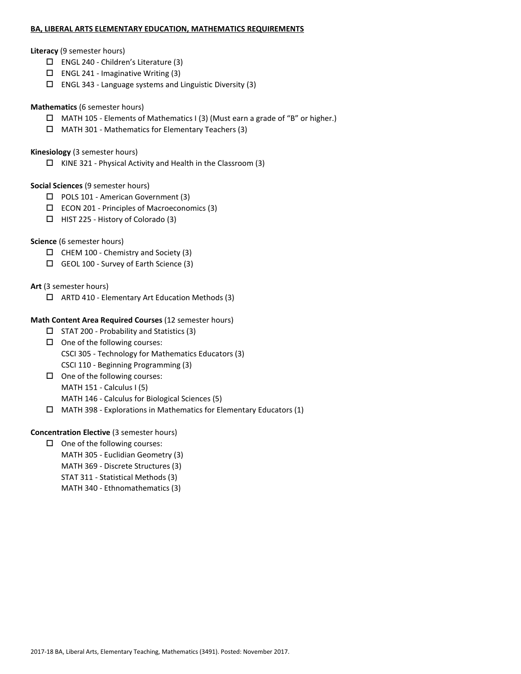#### **BA, LIBERAL ARTS ELEMENTARY EDUCATION, MATHEMATICS REQUIREMENTS**

#### **Literacy** (9 semester hours)

- ENGL 240 Children's Literature (3)
- $\Box$  ENGL 241 Imaginative Writing (3)
- $\square$  ENGL 343 Language systems and Linguistic Diversity (3)

### **Mathematics** (6 semester hours)

- $\Box$  MATH 105 Elements of Mathematics I (3) (Must earn a grade of "B" or higher.)
- MATH 301 Mathematics for Elementary Teachers (3)

### **Kinesiology** (3 semester hours)

 $\Box$  KINE 321 - Physical Activity and Health in the Classroom (3)

### **Social Sciences** (9 semester hours)

- □ POLS 101 American Government (3)
- $\square$  ECON 201 Principles of Macroeconomics (3)
- $\Box$  HIST 225 History of Colorado (3)

### **Science** (6 semester hours)

- $\Box$  CHEM 100 Chemistry and Society (3)
- GEOL 100 Survey of Earth Science (3)

**Art** (3 semester hours)

ARTD 410 - Elementary Art Education Methods (3)

## **Math Content Area Required Courses** (12 semester hours)

- $\square$  STAT 200 Probability and Statistics (3)
- $\Box$  One of the following courses: CSCI 305 - Technology for Mathematics Educators (3) CSCI 110 - Beginning Programming (3)
- $\Box$  One of the following courses: MATH 151 - Calculus I (5) MATH 146 - Calculus for Biological Sciences (5)
- $\Box$  MATH 398 Explorations in Mathematics for Elementary Educators (1)

### **Concentration Elective** (3 semester hours)

 $\Box$  One of the following courses: MATH 305 - Euclidian Geometry (3) MATH 369 - Discrete Structures (3) STAT 311 - Statistical Methods (3) MATH 340 - Ethnomathematics (3)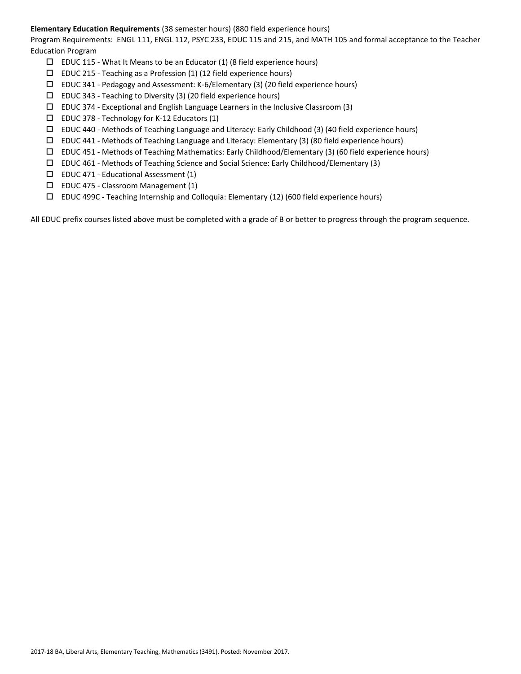### **Elementary Education Requirements** (38 semester hours) (880 field experience hours)

Program Requirements: ENGL 111, ENGL 112, PSYC 233, EDUC 115 and 215, and MATH 105 and formal acceptance to the Teacher Education Program

- $\square$  EDUC 115 What It Means to be an Educator (1) (8 field experience hours)
- $\square$  EDUC 215 Teaching as a Profession (1) (12 field experience hours)
- EDUC 341 Pedagogy and Assessment: K-6/Elementary (3) (20 field experience hours)
- $\square$  EDUC 343 Teaching to Diversity (3) (20 field experience hours)
- $\square$  EDUC 374 Exceptional and English Language Learners in the Inclusive Classroom (3)
- $\Box$  EDUC 378 Technology for K-12 Educators (1)
- EDUC 440 Methods of Teaching Language and Literacy: Early Childhood (3) (40 field experience hours)
- $\square$  EDUC 441 Methods of Teaching Language and Literacy: Elementary (3) (80 field experience hours)
- $\Box$  EDUC 451 Methods of Teaching Mathematics: Early Childhood/Elementary (3) (60 field experience hours)
- EDUC 461 Methods of Teaching Science and Social Science: Early Childhood/Elementary (3)
- $\square$  EDUC 471 Educational Assessment (1)
- $\square$  EDUC 475 Classroom Management (1)
- EDUC 499C Teaching Internship and Colloquia: Elementary (12) (600 field experience hours)

All EDUC prefix courses listed above must be completed with a grade of B or better to progress through the program sequence.